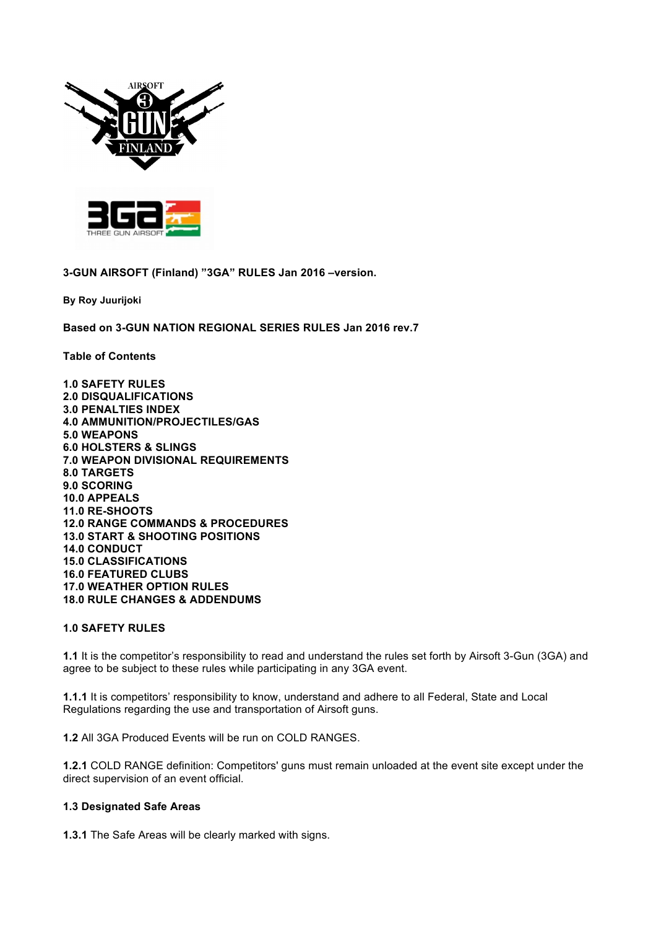



**3-GUN AIRSOFT (Finland) "3GA" RULES Jan 2016 –version.**

**By Roy Juurijoki**

**Based on 3-GUN NATION REGIONAL SERIES RULES Jan 2016 rev.7**

**Table of Contents**

**1.0 SAFETY RULES 2.0 DISQUALIFICATIONS 3.0 PENALTIES INDEX 4.0 AMMUNITION/PROJECTILES/GAS 5.0 WEAPONS 6.0 HOLSTERS & SLINGS 7.0 WEAPON DIVISIONAL REQUIREMENTS 8.0 TARGETS 9.0 SCORING 10.0 APPEALS 11.0 RE-SHOOTS 12.0 RANGE COMMANDS & PROCEDURES 13.0 START & SHOOTING POSITIONS 14.0 CONDUCT 15.0 CLASSIFICATIONS 16.0 FEATURED CLUBS 17.0 WEATHER OPTION RULES 18.0 RULE CHANGES & ADDENDUMS**

# **1.0 SAFETY RULES**

**1.1** It is the competitor's responsibility to read and understand the rules set forth by Airsoft 3-Gun (3GA) and agree to be subject to these rules while participating in any 3GA event.

**1.1.1** It is competitors' responsibility to know, understand and adhere to all Federal, State and Local Regulations regarding the use and transportation of Airsoft guns.

**1.2** All 3GA Produced Events will be run on COLD RANGES.

**1.2.1** COLD RANGE definition: Competitors' guns must remain unloaded at the event site except under the direct supervision of an event official.

#### **1.3 Designated Safe Areas**

**1.3.1** The Safe Areas will be clearly marked with signs.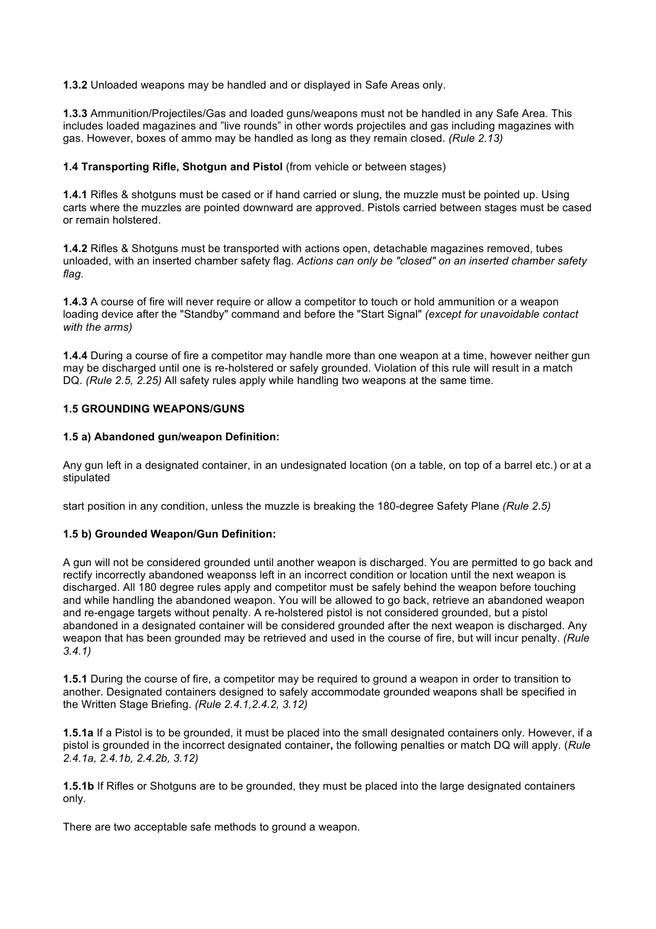**1.3.2** Unloaded weapons may be handled and or displayed in Safe Areas only.

**1.3.3** Ammunition/Projectiles/Gas and loaded guns/weapons must not be handled in any Safe Area. This includes loaded magazines and "live rounds" in other words projectiles and gas including magazines with gas. However, boxes of ammo may be handled as long as they remain closed. *(Rule 2.13)*

### **1.4 Transporting Rifle, Shotgun and Pistol** (from vehicle or between stages)

**1.4.1** Rifles & shotguns must be cased or if hand carried or slung, the muzzle must be pointed up. Using carts where the muzzles are pointed downward are approved. Pistols carried between stages must be cased or remain holstered.

**1.4.2** Rifles & Shotguns must be transported with actions open, detachable magazines removed, tubes unloaded, with an inserted chamber safety flag. *Actions can only be "closed" on an inserted chamber safety flag.*

**1.4.3** A course of fire will never require or allow a competitor to touch or hold ammunition or a weapon loading device after the "Standby" command and before the "Start Signal" *(except for unavoidable contact with the arms)*

**1.4.4** During a course of fire a competitor may handle more than one weapon at a time, however neither gun may be discharged until one is re-holstered or safely grounded. Violation of this rule will result in a match DQ. *(Rule 2.5, 2.25)* All safety rules apply while handling two weapons at the same time.

### **1.5 GROUNDING WEAPONS/GUNS**

### **1.5 a) Abandoned gun/weapon Definition:**

Any gun left in a designated container, in an undesignated location (on a table, on top of a barrel etc.) or at a stipulated

start position in any condition, unless the muzzle is breaking the 180-degree Safety Plane *(Rule 2.5)*

# **1.5 b) Grounded Weapon/Gun Definition:**

A gun will not be considered grounded until another weapon is discharged. You are permitted to go back and rectify incorrectly abandoned weaponss left in an incorrect condition or location until the next weapon is discharged. All 180 degree rules apply and competitor must be safely behind the weapon before touching and while handling the abandoned weapon. You will be allowed to go back, retrieve an abandoned weapon and re-engage targets without penalty. A re-holstered pistol is not considered grounded, but a pistol abandoned in a designated container will be considered grounded after the next weapon is discharged. Any weapon that has been grounded may be retrieved and used in the course of fire, but will incur penalty. *(Rule 3.4.1)*

**1.5.1** During the course of fire, a competitor may be required to ground a weapon in order to transition to another. Designated containers designed to safely accommodate grounded weapons shall be specified in the Written Stage Briefing. *(Rule 2.4.1,2.4.2, 3.12)*

**1.5.1a** If a Pistol is to be grounded, it must be placed into the small designated containers only. However, if a pistol is grounded in the incorrect designated container**,** the following penalties or match DQ will apply. (*Rule 2.4.1a, 2.4.1b, 2.4.2b, 3.12)*

**1.5.1b** If Rifles or Shotguns are to be grounded, they must be placed into the large designated containers only.

There are two acceptable safe methods to ground a weapon.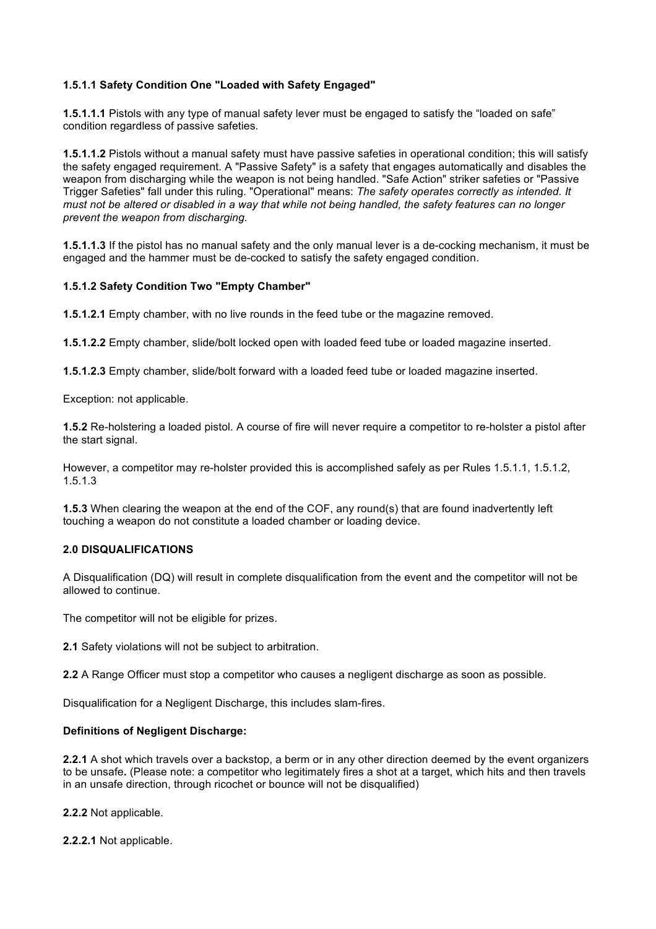# **1.5.1.1 Safety Condition One "Loaded with Safety Engaged"**

**1.5.1.1.1** Pistols with any type of manual safety lever must be engaged to satisfy the "loaded on safe" condition regardless of passive safeties.

**1.5.1.1.2** Pistols without a manual safety must have passive safeties in operational condition; this will satisfy the safety engaged requirement. A "Passive Safety" is a safety that engages automatically and disables the weapon from discharging while the weapon is not being handled. "Safe Action" striker safeties or "Passive Trigger Safeties" fall under this ruling. "Operational" means: *The safety operates correctly as intended. It must not be altered or disabled in a way that while not being handled, the safety features can no longer prevent the weapon from discharging.*

**1.5.1.1.3** If the pistol has no manual safety and the only manual lever is a de-cocking mechanism, it must be engaged and the hammer must be de-cocked to satisfy the safety engaged condition.

### **1.5.1.2 Safety Condition Two "Empty Chamber"**

**1.5.1.2.1** Empty chamber, with no live rounds in the feed tube or the magazine removed.

**1.5.1.2.2** Empty chamber, slide/bolt locked open with loaded feed tube or loaded magazine inserted.

**1.5.1.2.3** Empty chamber, slide/bolt forward with a loaded feed tube or loaded magazine inserted.

Exception: not applicable.

**1.5.2** Re-holstering a loaded pistol. A course of fire will never require a competitor to re-holster a pistol after the start signal.

However, a competitor may re-holster provided this is accomplished safely as per Rules 1.5.1.1, 1.5.1.2, 1.5.1.3

**1.5.3** When clearing the weapon at the end of the COF, any round(s) that are found inadvertently left touching a weapon do not constitute a loaded chamber or loading device.

# **2.0 DISQUALIFICATIONS**

A Disqualification (DQ) will result in complete disqualification from the event and the competitor will not be allowed to continue.

The competitor will not be eligible for prizes.

**2.1** Safety violations will not be subject to arbitration.

**2.2** A Range Officer must stop a competitor who causes a negligent discharge as soon as possible.

Disqualification for a Negligent Discharge, this includes slam-fires.

#### **Definitions of Negligent Discharge:**

**2.2.1** A shot which travels over a backstop, a berm or in any other direction deemed by the event organizers to be unsafe**.** (Please note: a competitor who legitimately fires a shot at a target, which hits and then travels in an unsafe direction, through ricochet or bounce will not be disqualified)

**2.2.2** Not applicable.

**2.2.2.1** Not applicable.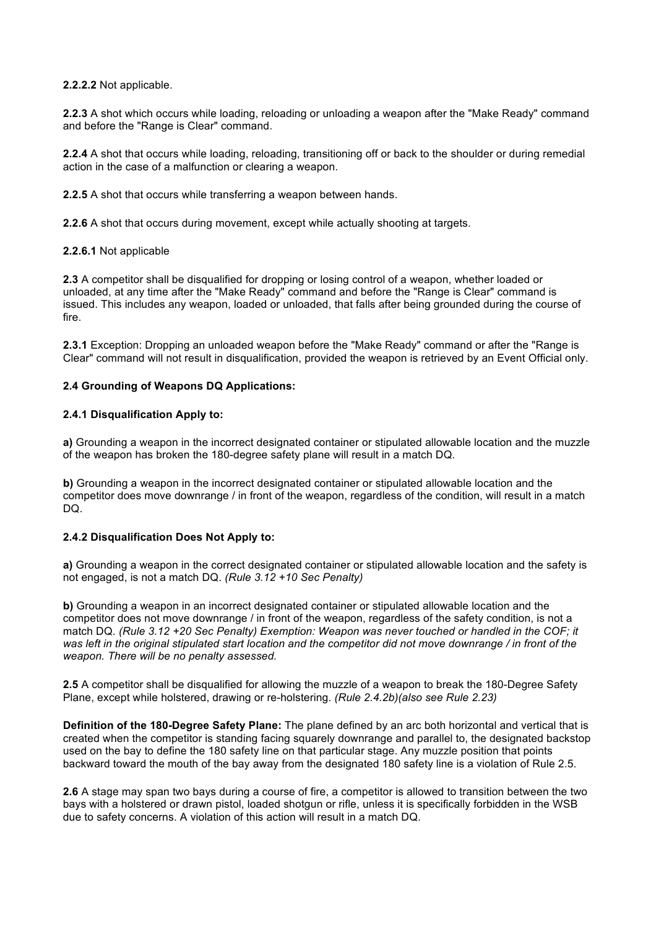**2.2.2.2** Not applicable.

**2.2.3** A shot which occurs while loading, reloading or unloading a weapon after the "Make Ready" command and before the "Range is Clear" command.

**2.2.4** A shot that occurs while loading, reloading, transitioning off or back to the shoulder or during remedial action in the case of a malfunction or clearing a weapon.

**2.2.5** A shot that occurs while transferring a weapon between hands.

**2.2.6** A shot that occurs during movement, except while actually shooting at targets.

#### **2.2.6.1** Not applicable

**2.3** A competitor shall be disqualified for dropping or losing control of a weapon, whether loaded or unloaded, at any time after the "Make Ready" command and before the "Range is Clear" command is issued. This includes any weapon, loaded or unloaded, that falls after being grounded during the course of fire.

**2.3.1** Exception: Dropping an unloaded weapon before the "Make Ready" command or after the "Range is Clear" command will not result in disqualification, provided the weapon is retrieved by an Event Official only.

#### **2.4 Grounding of Weapons DQ Applications:**

#### **2.4.1 Disqualification Apply to:**

**a)** Grounding a weapon in the incorrect designated container or stipulated allowable location and the muzzle of the weapon has broken the 180-degree safety plane will result in a match DQ.

**b)** Grounding a weapon in the incorrect designated container or stipulated allowable location and the competitor does move downrange / in front of the weapon, regardless of the condition, will result in a match DQ.

### **2.4.2 Disqualification Does Not Apply to:**

**a)** Grounding a weapon in the correct designated container or stipulated allowable location and the safety is not engaged, is not a match DQ. *(Rule 3.12 +10 Sec Penalty)*

**b)** Grounding a weapon in an incorrect designated container or stipulated allowable location and the competitor does not move downrange / in front of the weapon, regardless of the safety condition, is not a match DQ. *(Rule 3.12 +20 Sec Penalty) Exemption: Weapon was never touched or handled in the COF; it*  was left in the original stipulated start location and the competitor did not move downrange / in front of the *weapon. There will be no penalty assessed.*

**2.5** A competitor shall be disqualified for allowing the muzzle of a weapon to break the 180-Degree Safety Plane, except while holstered, drawing or re-holstering. *(Rule 2.4.2b)(also see Rule 2.23)*

**Definition of the 180-Degree Safety Plane:** The plane defined by an arc both horizontal and vertical that is created when the competitor is standing facing squarely downrange and parallel to, the designated backstop used on the bay to define the 180 safety line on that particular stage. Any muzzle position that points backward toward the mouth of the bay away from the designated 180 safety line is a violation of Rule 2.5.

**2.6** A stage may span two bays during a course of fire, a competitor is allowed to transition between the two bays with a holstered or drawn pistol, loaded shotgun or rifle, unless it is specifically forbidden in the WSB due to safety concerns. A violation of this action will result in a match DQ.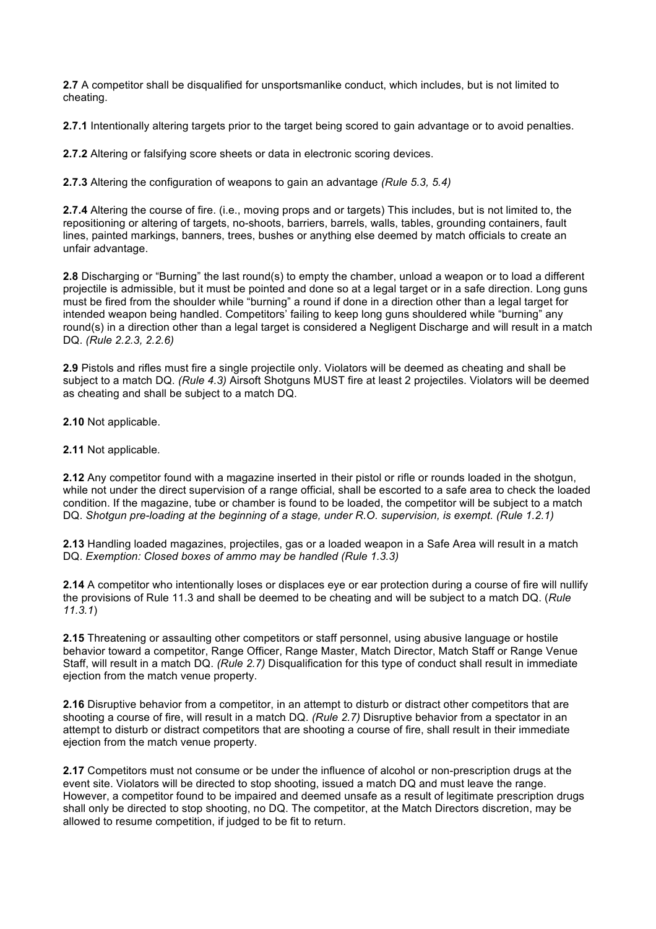**2.7** A competitor shall be disqualified for unsportsmanlike conduct, which includes, but is not limited to cheating.

**2.7.1** Intentionally altering targets prior to the target being scored to gain advantage or to avoid penalties.

**2.7.2** Altering or falsifying score sheets or data in electronic scoring devices.

**2.7.3** Altering the configuration of weapons to gain an advantage *(Rule 5.3, 5.4)*

**2.7.4** Altering the course of fire. (i.e., moving props and or targets) This includes, but is not limited to, the repositioning or altering of targets, no-shoots, barriers, barrels, walls, tables, grounding containers, fault lines, painted markings, banners, trees, bushes or anything else deemed by match officials to create an unfair advantage.

**2.8** Discharging or "Burning" the last round(s) to empty the chamber, unload a weapon or to load a different projectile is admissible, but it must be pointed and done so at a legal target or in a safe direction. Long guns must be fired from the shoulder while "burning" a round if done in a direction other than a legal target for intended weapon being handled. Competitors' failing to keep long guns shouldered while "burning" any round(s) in a direction other than a legal target is considered a Negligent Discharge and will result in a match DQ. *(Rule 2.2.3, 2.2.6)*

**2.9** Pistols and rifles must fire a single projectile only. Violators will be deemed as cheating and shall be subject to a match DQ. *(Rule 4.3)* Airsoft Shotguns MUST fire at least 2 projectiles. Violators will be deemed as cheating and shall be subject to a match DQ.

**2.10** Not applicable.

**2.11** Not applicable*.*

**2.12** Any competitor found with a magazine inserted in their pistol or rifle or rounds loaded in the shotgun, while not under the direct supervision of a range official, shall be escorted to a safe area to check the loaded condition. If the magazine, tube or chamber is found to be loaded, the competitor will be subject to a match DQ. *Shotgun pre-loading at the beginning of a stage, under R.O. supervision, is exempt. (Rule 1.2.1)*

**2.13** Handling loaded magazines, projectiles, gas or a loaded weapon in a Safe Area will result in a match DQ. *Exemption: Closed boxes of ammo may be handled (Rule 1.3.3)*

**2.14** A competitor who intentionally loses or displaces eye or ear protection during a course of fire will nullify the provisions of Rule 11.3 and shall be deemed to be cheating and will be subject to a match DQ. (*Rule 11.3.1*)

**2.15** Threatening or assaulting other competitors or staff personnel, using abusive language or hostile behavior toward a competitor, Range Officer, Range Master, Match Director, Match Staff or Range Venue Staff, will result in a match DQ. *(Rule 2.7)* Disqualification for this type of conduct shall result in immediate ejection from the match venue property.

**2.16** Disruptive behavior from a competitor, in an attempt to disturb or distract other competitors that are shooting a course of fire, will result in a match DQ. *(Rule 2.7)* Disruptive behavior from a spectator in an attempt to disturb or distract competitors that are shooting a course of fire, shall result in their immediate ejection from the match venue property.

**2.17** Competitors must not consume or be under the influence of alcohol or non-prescription drugs at the event site. Violators will be directed to stop shooting, issued a match DQ and must leave the range. However, a competitor found to be impaired and deemed unsafe as a result of legitimate prescription drugs shall only be directed to stop shooting, no DQ. The competitor, at the Match Directors discretion, may be allowed to resume competition, if judged to be fit to return.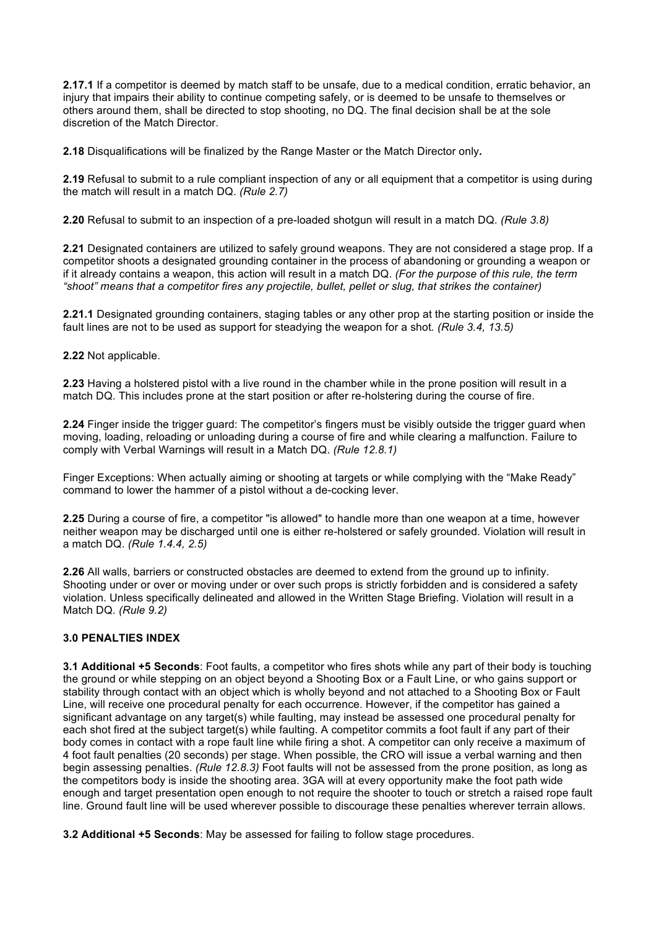**2.17.1** If a competitor is deemed by match staff to be unsafe, due to a medical condition, erratic behavior, an injury that impairs their ability to continue competing safely, or is deemed to be unsafe to themselves or others around them, shall be directed to stop shooting, no DQ. The final decision shall be at the sole discretion of the Match Director.

**2.18** Disqualifications will be finalized by the Range Master or the Match Director only**.**

**2.19** Refusal to submit to a rule compliant inspection of any or all equipment that a competitor is using during the match will result in a match DQ. *(Rule 2.7)*

**2.20** Refusal to submit to an inspection of a pre-loaded shotgun will result in a match DQ. *(Rule 3.8)*

**2.21** Designated containers are utilized to safely ground weapons. They are not considered a stage prop. If a competitor shoots a designated grounding container in the process of abandoning or grounding a weapon or if it already contains a weapon, this action will result in a match DQ. *(For the purpose of this rule, the term "shoot" means that a competitor fires any projectile, bullet, pellet or slug, that strikes the container)*

**2.21.1** Designated grounding containers, staging tables or any other prop at the starting position or inside the fault lines are not to be used as support for steadying the weapon for a shot*. (Rule 3.4, 13.5)*

**2.22** Not applicable.

**2.23** Having a holstered pistol with a live round in the chamber while in the prone position will result in a match DQ. This includes prone at the start position or after re-holstering during the course of fire.

**2.24** Finger inside the trigger guard: The competitor's fingers must be visibly outside the trigger guard when moving, loading, reloading or unloading during a course of fire and while clearing a malfunction. Failure to comply with Verbal Warnings will result in a Match DQ. *(Rule 12.8.1)*

Finger Exceptions: When actually aiming or shooting at targets or while complying with the "Make Ready" command to lower the hammer of a pistol without a de-cocking lever.

**2.25** During a course of fire, a competitor "is allowed" to handle more than one weapon at a time, however neither weapon may be discharged until one is either re-holstered or safely grounded. Violation will result in a match DQ. *(Rule 1.4.4, 2.5)*

**2.26** All walls, barriers or constructed obstacles are deemed to extend from the ground up to infinity. Shooting under or over or moving under or over such props is strictly forbidden and is considered a safety violation. Unless specifically delineated and allowed in the Written Stage Briefing. Violation will result in a Match DQ. *(Rule 9.2)*

# **3.0 PENALTIES INDEX**

**3.1 Additional +5 Seconds**: Foot faults, a competitor who fires shots while any part of their body is touching the ground or while stepping on an object beyond a Shooting Box or a Fault Line, or who gains support or stability through contact with an object which is wholly beyond and not attached to a Shooting Box or Fault Line, will receive one procedural penalty for each occurrence. However, if the competitor has gained a significant advantage on any target(s) while faulting, may instead be assessed one procedural penalty for each shot fired at the subject target(s) while faulting. A competitor commits a foot fault if any part of their body comes in contact with a rope fault line while firing a shot. A competitor can only receive a maximum of 4 foot fault penalties (20 seconds) per stage. When possible, the CRO will issue a verbal warning and then begin assessing penalties. *(Rule 12.8.3)* Foot faults will not be assessed from the prone position, as long as the competitors body is inside the shooting area. 3GA will at every opportunity make the foot path wide enough and target presentation open enough to not require the shooter to touch or stretch a raised rope fault line. Ground fault line will be used wherever possible to discourage these penalties wherever terrain allows.

**3.2 Additional +5 Seconds**: May be assessed for failing to follow stage procedures.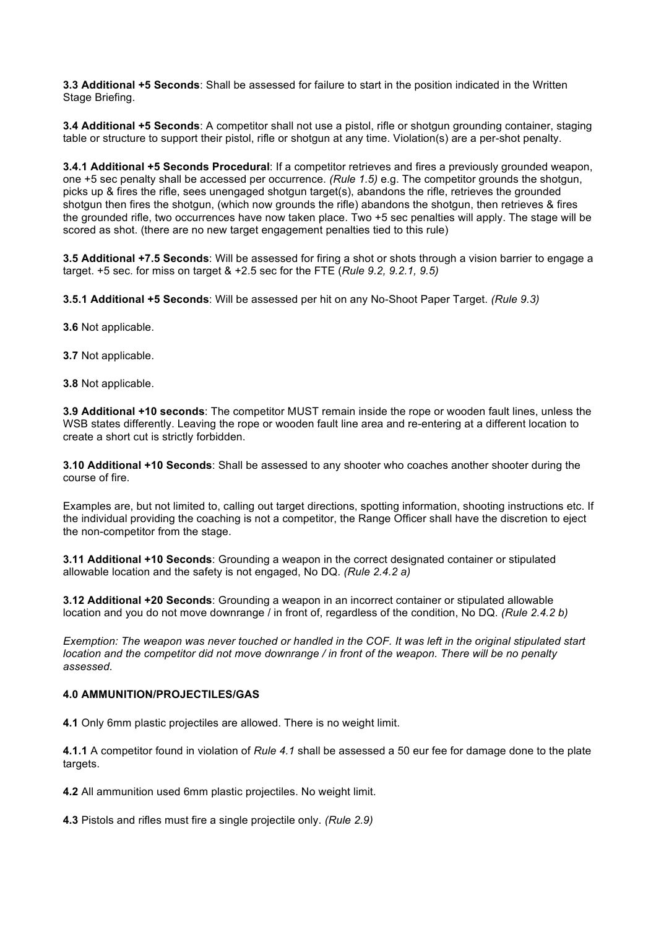**3.3 Additional +5 Seconds**: Shall be assessed for failure to start in the position indicated in the Written Stage Briefing.

**3.4 Additional +5 Seconds**: A competitor shall not use a pistol, rifle or shotgun grounding container, staging table or structure to support their pistol, rifle or shotgun at any time. Violation(s) are a per-shot penalty.

**3.4.1 Additional +5 Seconds Procedural**: If a competitor retrieves and fires a previously grounded weapon, one +5 sec penalty shall be accessed per occurrence. *(Rule 1.5)* e.g. The competitor grounds the shotgun, picks up & fires the rifle, sees unengaged shotgun target(s), abandons the rifle, retrieves the grounded shotgun then fires the shotgun, (which now grounds the rifle) abandons the shotgun, then retrieves & fires the grounded rifle, two occurrences have now taken place. Two +5 sec penalties will apply. The stage will be scored as shot. (there are no new target engagement penalties tied to this rule)

**3.5 Additional +7.5 Seconds**: Will be assessed for firing a shot or shots through a vision barrier to engage a target. +5 sec. for miss on target & +2.5 sec for the FTE (*Rule 9.2, 9.2.1, 9.5)*

**3.5.1 Additional +5 Seconds**: Will be assessed per hit on any No-Shoot Paper Target. *(Rule 9.3)*

- **3.6** Not applicable.
- **3.7** Not applicable.
- **3.8** Not applicable.

**3.9 Additional +10 seconds**: The competitor MUST remain inside the rope or wooden fault lines, unless the WSB states differently. Leaving the rope or wooden fault line area and re-entering at a different location to create a short cut is strictly forbidden.

**3.10 Additional +10 Seconds**: Shall be assessed to any shooter who coaches another shooter during the course of fire.

Examples are, but not limited to, calling out target directions, spotting information, shooting instructions etc. If the individual providing the coaching is not a competitor, the Range Officer shall have the discretion to eject the non-competitor from the stage.

**3.11 Additional +10 Seconds**: Grounding a weapon in the correct designated container or stipulated allowable location and the safety is not engaged, No DQ. *(Rule 2.4.2 a)*

**3.12 Additional +20 Seconds**: Grounding a weapon in an incorrect container or stipulated allowable location and you do not move downrange / in front of, regardless of the condition, No DQ. *(Rule 2.4.2 b)*

*Exemption: The weapon was never touched or handled in the COF. It was left in the original stipulated start location and the competitor did not move downrange / in front of the weapon. There will be no penalty assessed.*

# **4.0 AMMUNITION/PROJECTILES/GAS**

**4.1** Only 6mm plastic projectiles are allowed. There is no weight limit.

**4.1.1** A competitor found in violation of *Rule 4.1* shall be assessed a 50 eur fee for damage done to the plate targets.

**4.2** All ammunition used 6mm plastic projectiles. No weight limit.

**4.3** Pistols and rifles must fire a single projectile only. *(Rule 2.9)*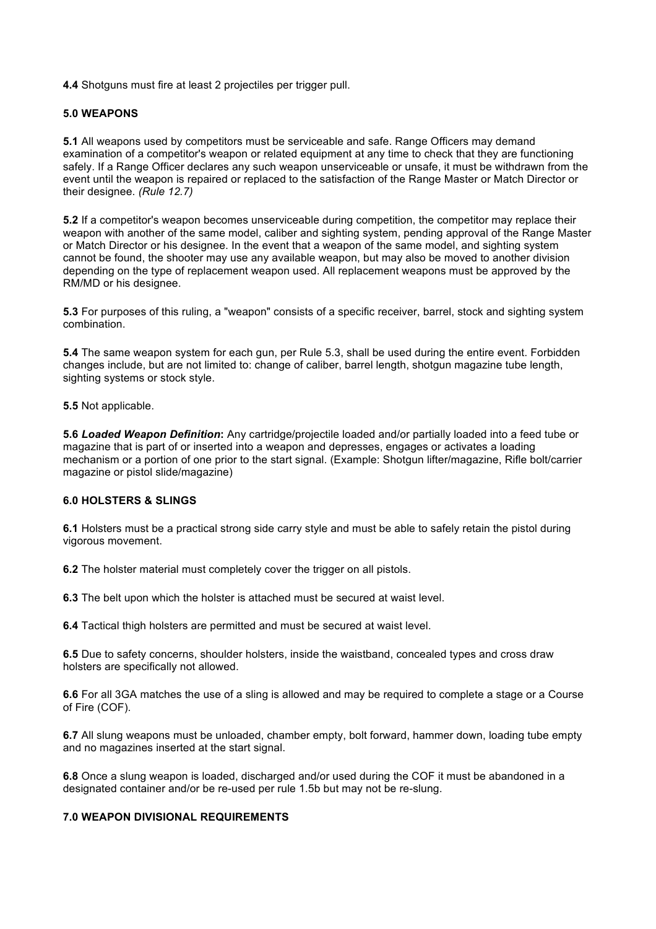**4.4** Shotguns must fire at least 2 projectiles per trigger pull.

# **5.0 WEAPONS**

**5.1** All weapons used by competitors must be serviceable and safe. Range Officers may demand examination of a competitor's weapon or related equipment at any time to check that they are functioning safely. If a Range Officer declares any such weapon unserviceable or unsafe, it must be withdrawn from the event until the weapon is repaired or replaced to the satisfaction of the Range Master or Match Director or their designee. *(Rule 12.7)*

**5.2** If a competitor's weapon becomes unserviceable during competition, the competitor may replace their weapon with another of the same model, caliber and sighting system, pending approval of the Range Master or Match Director or his designee. In the event that a weapon of the same model, and sighting system cannot be found, the shooter may use any available weapon, but may also be moved to another division depending on the type of replacement weapon used. All replacement weapons must be approved by the RM/MD or his designee.

**5.3** For purposes of this ruling, a "weapon" consists of a specific receiver, barrel, stock and sighting system combination.

**5.4** The same weapon system for each gun, per Rule 5.3, shall be used during the entire event. Forbidden changes include, but are not limited to: change of caliber, barrel length, shotgun magazine tube length, sighting systems or stock style.

**5.5** Not applicable.

**5.6** *Loaded Weapon Definition***:** Any cartridge/projectile loaded and/or partially loaded into a feed tube or magazine that is part of or inserted into a weapon and depresses, engages or activates a loading mechanism or a portion of one prior to the start signal. (Example: Shotgun lifter/magazine, Rifle bolt/carrier magazine or pistol slide/magazine)

### **6.0 HOLSTERS & SLINGS**

**6.1** Holsters must be a practical strong side carry style and must be able to safely retain the pistol during vigorous movement.

**6.2** The holster material must completely cover the trigger on all pistols.

**6.3** The belt upon which the holster is attached must be secured at waist level.

**6.4** Tactical thigh holsters are permitted and must be secured at waist level.

**6.5** Due to safety concerns, shoulder holsters, inside the waistband, concealed types and cross draw holsters are specifically not allowed.

**6.6** For all 3GA matches the use of a sling is allowed and may be required to complete a stage or a Course of Fire (COF).

**6.7** All slung weapons must be unloaded, chamber empty, bolt forward, hammer down, loading tube empty and no magazines inserted at the start signal.

**6.8** Once a slung weapon is loaded, discharged and/or used during the COF it must be abandoned in a designated container and/or be re-used per rule 1.5b but may not be re-slung.

# **7.0 WEAPON DIVISIONAL REQUIREMENTS**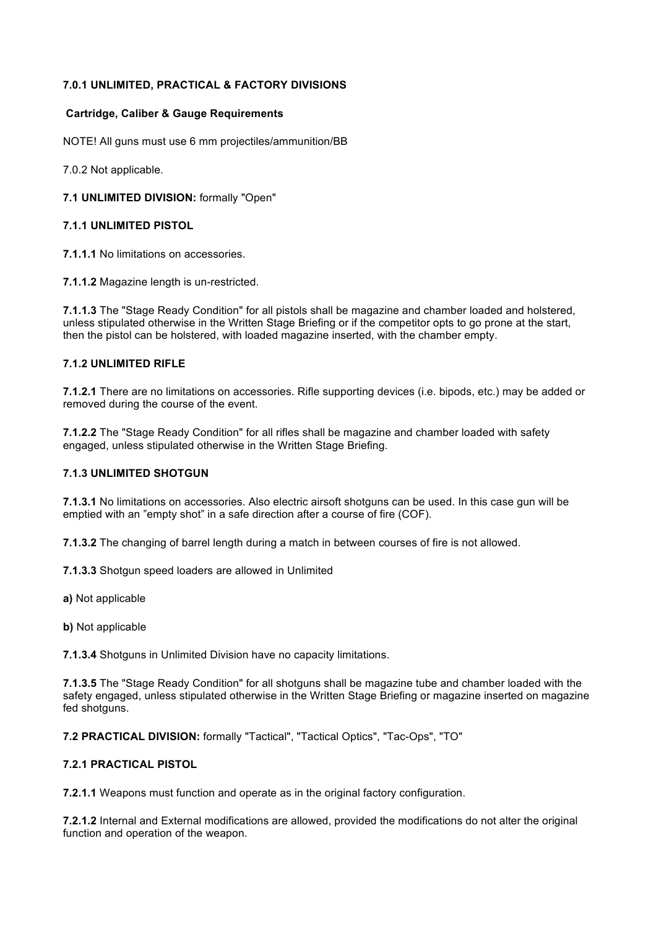# **7.0.1 UNLIMITED, PRACTICAL & FACTORY DIVISIONS**

### **Cartridge, Caliber & Gauge Requirements**

NOTE! All guns must use 6 mm projectiles/ammunition/BB

7.0.2 Not applicable.

### **7.1 UNLIMITED DIVISION:** formally "Open"

### **7.1.1 UNLIMITED PISTOL**

**7.1.1.1** No limitations on accessories.

**7.1.1.2** Magazine length is un-restricted.

**7.1.1.3** The "Stage Ready Condition" for all pistols shall be magazine and chamber loaded and holstered, unless stipulated otherwise in the Written Stage Briefing or if the competitor opts to go prone at the start, then the pistol can be holstered, with loaded magazine inserted, with the chamber empty.

# **7.1.2 UNLIMITED RIFLE**

**7.1.2.1** There are no limitations on accessories. Rifle supporting devices (i.e. bipods, etc.) may be added or removed during the course of the event.

**7.1.2.2** The "Stage Ready Condition" for all rifles shall be magazine and chamber loaded with safety engaged, unless stipulated otherwise in the Written Stage Briefing.

#### **7.1.3 UNLIMITED SHOTGUN**

**7.1.3.1** No limitations on accessories. Also electric airsoft shotguns can be used. In this case gun will be emptied with an "empty shot" in a safe direction after a course of fire (COF).

**7.1.3.2** The changing of barrel length during a match in between courses of fire is not allowed.

**7.1.3.3** Shotgun speed loaders are allowed in Unlimited

**a)** Not applicable

**b)** Not applicable

**7.1.3.4** Shotguns in Unlimited Division have no capacity limitations.

**7.1.3.5** The "Stage Ready Condition" for all shotguns shall be magazine tube and chamber loaded with the safety engaged, unless stipulated otherwise in the Written Stage Briefing or magazine inserted on magazine fed shotguns.

**7.2 PRACTICAL DIVISION:** formally "Tactical", "Tactical Optics", "Tac-Ops", "TO"

#### **7.2.1 PRACTICAL PISTOL**

**7.2.1.1** Weapons must function and operate as in the original factory configuration.

**7.2.1.2** Internal and External modifications are allowed, provided the modifications do not alter the original function and operation of the weapon.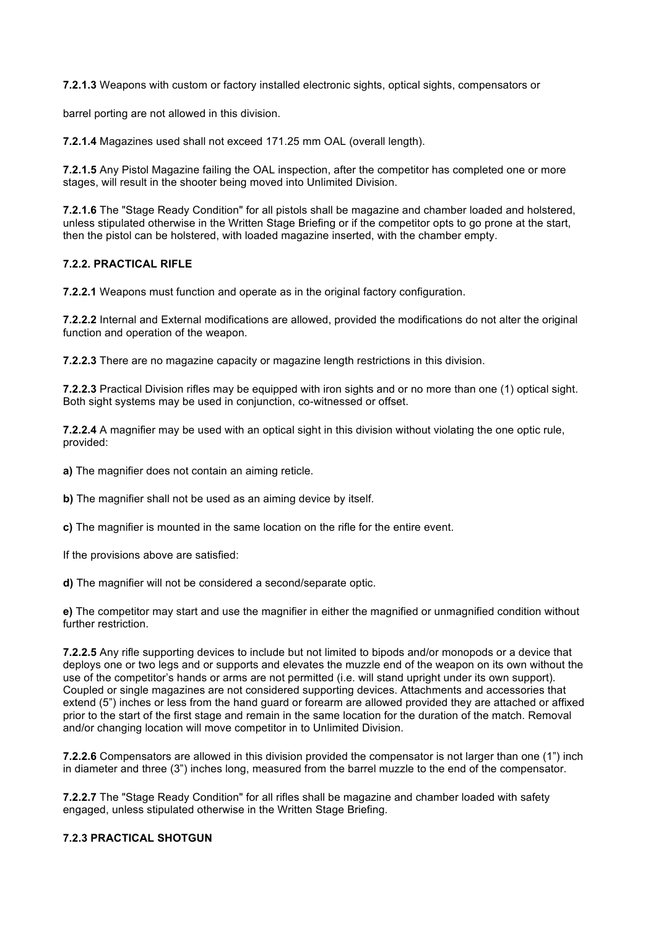**7.2.1.3** Weapons with custom or factory installed electronic sights, optical sights, compensators or

barrel porting are not allowed in this division.

**7.2.1.4** Magazines used shall not exceed 171.25 mm OAL (overall length).

**7.2.1.5** Any Pistol Magazine failing the OAL inspection, after the competitor has completed one or more stages, will result in the shooter being moved into Unlimited Division.

**7.2.1.6** The "Stage Ready Condition" for all pistols shall be magazine and chamber loaded and holstered, unless stipulated otherwise in the Written Stage Briefing or if the competitor opts to go prone at the start, then the pistol can be holstered, with loaded magazine inserted, with the chamber empty.

# **7.2.2. PRACTICAL RIFLE**

**7.2.2.1** Weapons must function and operate as in the original factory configuration.

**7.2.2.2** Internal and External modifications are allowed, provided the modifications do not alter the original function and operation of the weapon.

**7.2.2.3** There are no magazine capacity or magazine length restrictions in this division.

**7.2.2.3** Practical Division rifles may be equipped with iron sights and or no more than one (1) optical sight. Both sight systems may be used in conjunction, co-witnessed or offset.

**7.2.2.4** A magnifier may be used with an optical sight in this division without violating the one optic rule, provided:

**a)** The magnifier does not contain an aiming reticle.

**b)** The magnifier shall not be used as an aiming device by itself.

**c)** The magnifier is mounted in the same location on the rifle for the entire event.

If the provisions above are satisfied:

**d)** The magnifier will not be considered a second/separate optic.

**e)** The competitor may start and use the magnifier in either the magnified or unmagnified condition without further restriction.

**7.2.2.5** Any rifle supporting devices to include but not limited to bipods and/or monopods or a device that deploys one or two legs and or supports and elevates the muzzle end of the weapon on its own without the use of the competitor's hands or arms are not permitted (i.e. will stand upright under its own support). Coupled or single magazines are not considered supporting devices. Attachments and accessories that extend (5") inches or less from the hand guard or forearm are allowed provided they are attached or affixed prior to the start of the first stage and remain in the same location for the duration of the match. Removal and/or changing location will move competitor in to Unlimited Division.

**7.2.2.6** Compensators are allowed in this division provided the compensator is not larger than one (1") inch in diameter and three (3") inches long, measured from the barrel muzzle to the end of the compensator.

**7.2.2.7** The "Stage Ready Condition" for all rifles shall be magazine and chamber loaded with safety engaged, unless stipulated otherwise in the Written Stage Briefing.

### **7.2.3 PRACTICAL SHOTGUN**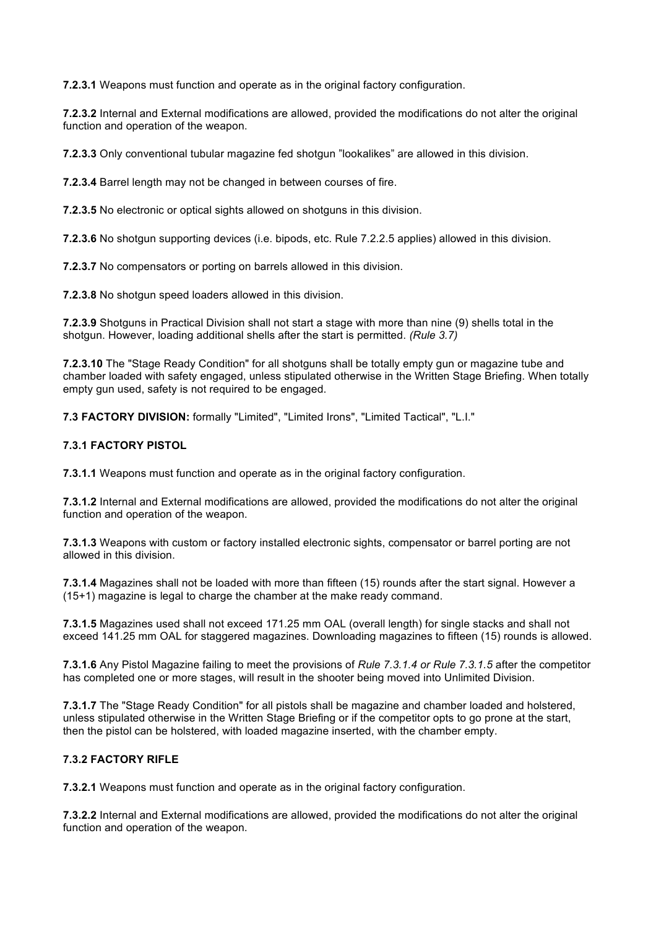**7.2.3.1** Weapons must function and operate as in the original factory configuration.

**7.2.3.2** Internal and External modifications are allowed, provided the modifications do not alter the original function and operation of the weapon.

**7.2.3.3** Only conventional tubular magazine fed shotgun "lookalikes" are allowed in this division.

**7.2.3.4** Barrel length may not be changed in between courses of fire.

**7.2.3.5** No electronic or optical sights allowed on shotguns in this division.

**7.2.3.6** No shotgun supporting devices (i.e. bipods, etc. Rule 7.2.2.5 applies) allowed in this division.

**7.2.3.7** No compensators or porting on barrels allowed in this division.

**7.2.3.8** No shotgun speed loaders allowed in this division.

**7.2.3.9** Shotguns in Practical Division shall not start a stage with more than nine (9) shells total in the shotgun. However, loading additional shells after the start is permitted. *(Rule 3.7)*

**7.2.3.10** The "Stage Ready Condition" for all shotguns shall be totally empty gun or magazine tube and chamber loaded with safety engaged, unless stipulated otherwise in the Written Stage Briefing. When totally empty gun used, safety is not required to be engaged.

**7.3 FACTORY DIVISION:** formally "Limited", "Limited Irons", "Limited Tactical", "L.I."

### **7.3.1 FACTORY PISTOL**

**7.3.1.1** Weapons must function and operate as in the original factory configuration.

**7.3.1.2** Internal and External modifications are allowed, provided the modifications do not alter the original function and operation of the weapon.

**7.3.1.3** Weapons with custom or factory installed electronic sights, compensator or barrel porting are not allowed in this division.

**7.3.1.4** Magazines shall not be loaded with more than fifteen (15) rounds after the start signal. However a (15+1) magazine is legal to charge the chamber at the make ready command.

**7.3.1.5** Magazines used shall not exceed 171.25 mm OAL (overall length) for single stacks and shall not exceed 141.25 mm OAL for staggered magazines. Downloading magazines to fifteen (15) rounds is allowed.

**7.3.1.6** Any Pistol Magazine failing to meet the provisions of *Rule 7.3.1.4 or Rule 7.3.1.5* after the competitor has completed one or more stages, will result in the shooter being moved into Unlimited Division.

**7.3.1.7** The "Stage Ready Condition" for all pistols shall be magazine and chamber loaded and holstered, unless stipulated otherwise in the Written Stage Briefing or if the competitor opts to go prone at the start, then the pistol can be holstered, with loaded magazine inserted, with the chamber empty.

# **7.3.2 FACTORY RIFLE**

**7.3.2.1** Weapons must function and operate as in the original factory configuration.

**7.3.2.2** Internal and External modifications are allowed, provided the modifications do not alter the original function and operation of the weapon.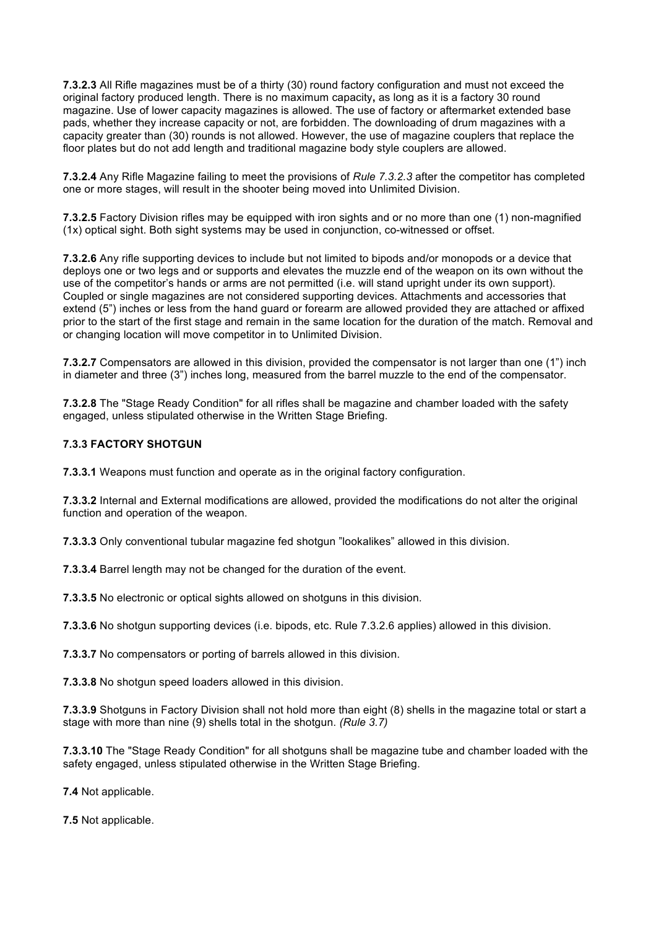**7.3.2.3** All Rifle magazines must be of a thirty (30) round factory configuration and must not exceed the original factory produced length. There is no maximum capacity**,** as long as it is a factory 30 round magazine. Use of lower capacity magazines is allowed. The use of factory or aftermarket extended base pads, whether they increase capacity or not, are forbidden. The downloading of drum magazines with a capacity greater than (30) rounds is not allowed. However, the use of magazine couplers that replace the floor plates but do not add length and traditional magazine body style couplers are allowed.

**7.3.2.4** Any Rifle Magazine failing to meet the provisions of *Rule 7.3.2.3* after the competitor has completed one or more stages, will result in the shooter being moved into Unlimited Division.

**7.3.2.5** Factory Division rifles may be equipped with iron sights and or no more than one (1) non-magnified (1x) optical sight. Both sight systems may be used in conjunction, co-witnessed or offset.

**7.3.2.6** Any rifle supporting devices to include but not limited to bipods and/or monopods or a device that deploys one or two legs and or supports and elevates the muzzle end of the weapon on its own without the use of the competitor's hands or arms are not permitted (i.e. will stand upright under its own support). Coupled or single magazines are not considered supporting devices. Attachments and accessories that extend (5") inches or less from the hand guard or forearm are allowed provided they are attached or affixed prior to the start of the first stage and remain in the same location for the duration of the match. Removal and or changing location will move competitor in to Unlimited Division.

**7.3.2.7** Compensators are allowed in this division, provided the compensator is not larger than one (1") inch in diameter and three (3") inches long, measured from the barrel muzzle to the end of the compensator.

**7.3.2.8** The "Stage Ready Condition" for all rifles shall be magazine and chamber loaded with the safety engaged, unless stipulated otherwise in the Written Stage Briefing.

### **7.3.3 FACTORY SHOTGUN**

**7.3.3.1** Weapons must function and operate as in the original factory configuration.

**7.3.3.2** Internal and External modifications are allowed, provided the modifications do not alter the original function and operation of the weapon.

**7.3.3.3** Only conventional tubular magazine fed shotgun "lookalikes" allowed in this division.

**7.3.3.4** Barrel length may not be changed for the duration of the event.

**7.3.3.5** No electronic or optical sights allowed on shotguns in this division.

**7.3.3.6** No shotgun supporting devices (i.e. bipods, etc. Rule 7.3.2.6 applies) allowed in this division.

**7.3.3.7** No compensators or porting of barrels allowed in this division.

**7.3.3.8** No shotgun speed loaders allowed in this division.

**7.3.3.9** Shotguns in Factory Division shall not hold more than eight (8) shells in the magazine total or start a stage with more than nine (9) shells total in the shotgun. *(Rule 3.7)*

**7.3.3.10** The "Stage Ready Condition" for all shotguns shall be magazine tube and chamber loaded with the safety engaged, unless stipulated otherwise in the Written Stage Briefing.

**7.4** Not applicable.

**7.5** Not applicable.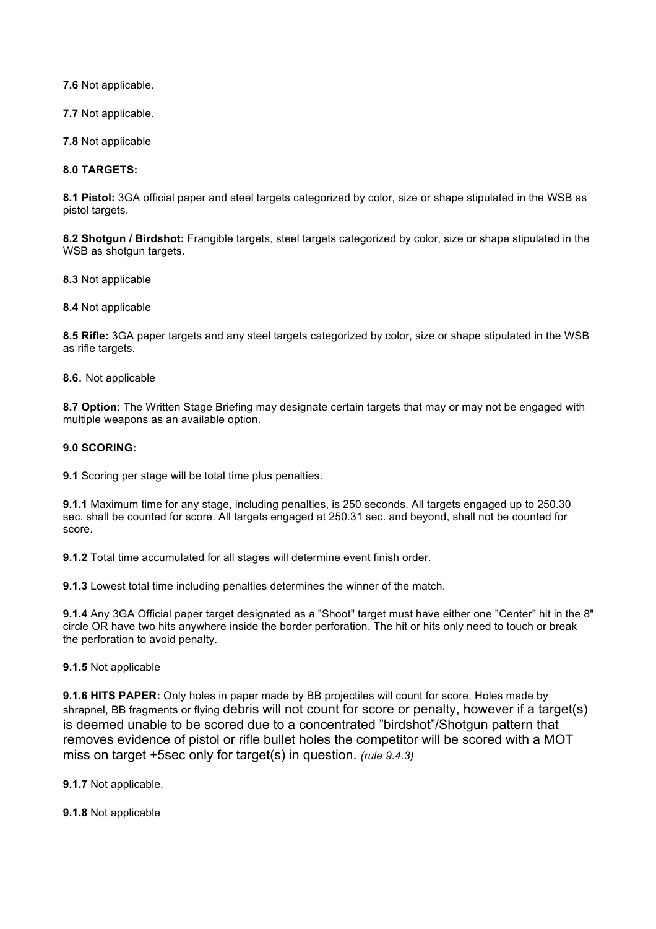**7.6** Not applicable.

**7.7** Not applicable.

**7.8** Not applicable

**8.0 TARGETS:**

**8.1 Pistol:** 3GA official paper and steel targets categorized by color, size or shape stipulated in the WSB as pistol targets.

**8.2 Shotgun / Birdshot:** Frangible targets, steel targets categorized by color, size or shape stipulated in the WSB as shotgun targets.

**8.3** Not applicable

**8.4** Not applicable

**8.5 Rifle:** 3GA paper targets and any steel targets categorized by color, size or shape stipulated in the WSB as rifle targets.

**8.6**. Not applicable

**8.7 Option:** The Written Stage Briefing may designate certain targets that may or may not be engaged with multiple weapons as an available option.

# **9.0 SCORING:**

**9.1** Scoring per stage will be total time plus penalties.

**9.1.1** Maximum time for any stage, including penalties, is 250 seconds. All targets engaged up to 250.30 sec. shall be counted for score. All targets engaged at 250.31 sec. and beyond, shall not be counted for score.

**9.1.2** Total time accumulated for all stages will determine event finish order.

**9.1.3** Lowest total time including penalties determines the winner of the match.

**9.1.4** Any 3GA Official paper target designated as a "Shoot" target must have either one "Center" hit in the 8" circle OR have two hits anywhere inside the border perforation. The hit or hits only need to touch or break the perforation to avoid penalty.

**9.1.5** Not applicable

**9.1.6 HITS PAPER:** Only holes in paper made by BB projectiles will count for score. Holes made by shrapnel, BB fragments or flying debris will not count for score or penalty, however if a target(s) is deemed unable to be scored due to a concentrated "birdshot"/Shotgun pattern that removes evidence of pistol or rifle bullet holes the competitor will be scored with a MOT miss on target +5sec only for target(s) in question. *(rule 9.4.3)*

**9.1.7** Not applicable.

**9.1.8** Not applicable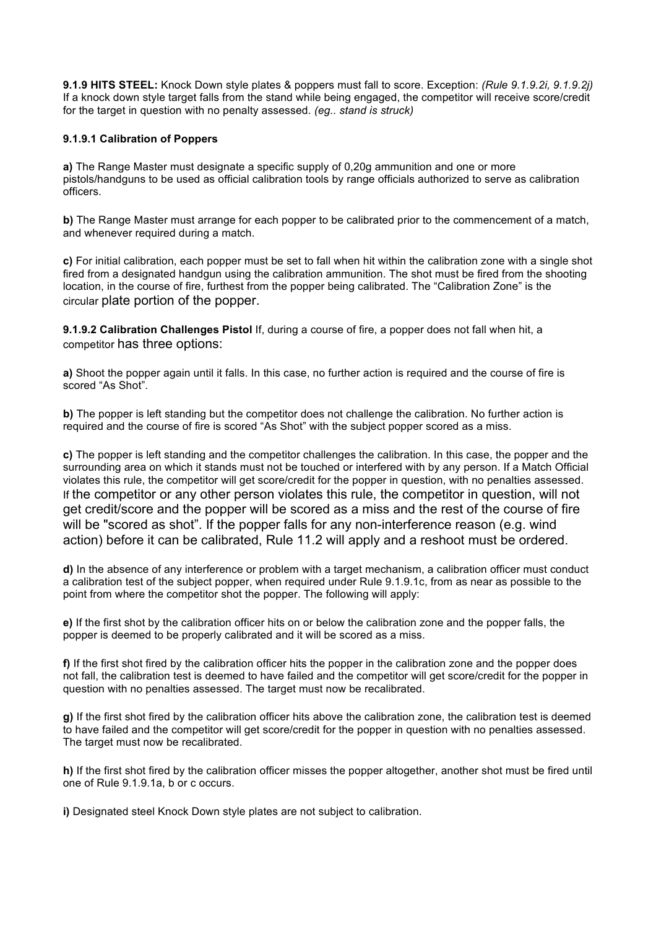**9.1.9 HITS STEEL:** Knock Down style plates & poppers must fall to score. Exception: *(Rule 9.1.9.2i, 9.1.9.2j)*  If a knock down style target falls from the stand while being engaged, the competitor will receive score/credit for the target in question with no penalty assessed*. (eg.. stand is struck)*

# **9.1.9.1 Calibration of Poppers**

**a)** The Range Master must designate a specific supply of 0,20g ammunition and one or more pistols/handguns to be used as official calibration tools by range officials authorized to serve as calibration officers.

**b)** The Range Master must arrange for each popper to be calibrated prior to the commencement of a match, and whenever required during a match.

**c)** For initial calibration, each popper must be set to fall when hit within the calibration zone with a single shot fired from a designated handgun using the calibration ammunition. The shot must be fired from the shooting location, in the course of fire, furthest from the popper being calibrated. The "Calibration Zone" is the circular plate portion of the popper.

**9.1.9.2 Calibration Challenges Pistol** If, during a course of fire, a popper does not fall when hit, a competitor has three options:

**a)** Shoot the popper again until it falls. In this case, no further action is required and the course of fire is scored "As Shot".

**b)** The popper is left standing but the competitor does not challenge the calibration. No further action is required and the course of fire is scored "As Shot" with the subject popper scored as a miss.

**c)** The popper is left standing and the competitor challenges the calibration. In this case, the popper and the surrounding area on which it stands must not be touched or interfered with by any person. If a Match Official violates this rule, the competitor will get score/credit for the popper in question, with no penalties assessed. If the competitor or any other person violates this rule, the competitor in question, will not get credit/score and the popper will be scored as a miss and the rest of the course of fire will be "scored as shot". If the popper falls for any non-interference reason (e.g. wind action) before it can be calibrated, Rule 11.2 will apply and a reshoot must be ordered.

**d)** In the absence of any interference or problem with a target mechanism, a calibration officer must conduct a calibration test of the subject popper, when required under Rule 9.1.9.1c, from as near as possible to the point from where the competitor shot the popper. The following will apply:

**e)** If the first shot by the calibration officer hits on or below the calibration zone and the popper falls, the popper is deemed to be properly calibrated and it will be scored as a miss.

**f)** If the first shot fired by the calibration officer hits the popper in the calibration zone and the popper does not fall, the calibration test is deemed to have failed and the competitor will get score/credit for the popper in question with no penalties assessed. The target must now be recalibrated.

**g)** If the first shot fired by the calibration officer hits above the calibration zone, the calibration test is deemed to have failed and the competitor will get score/credit for the popper in question with no penalties assessed. The target must now be recalibrated.

**h)** If the first shot fired by the calibration officer misses the popper altogether, another shot must be fired until one of Rule 9.1.9.1a, b or c occurs.

**i)** Designated steel Knock Down style plates are not subject to calibration.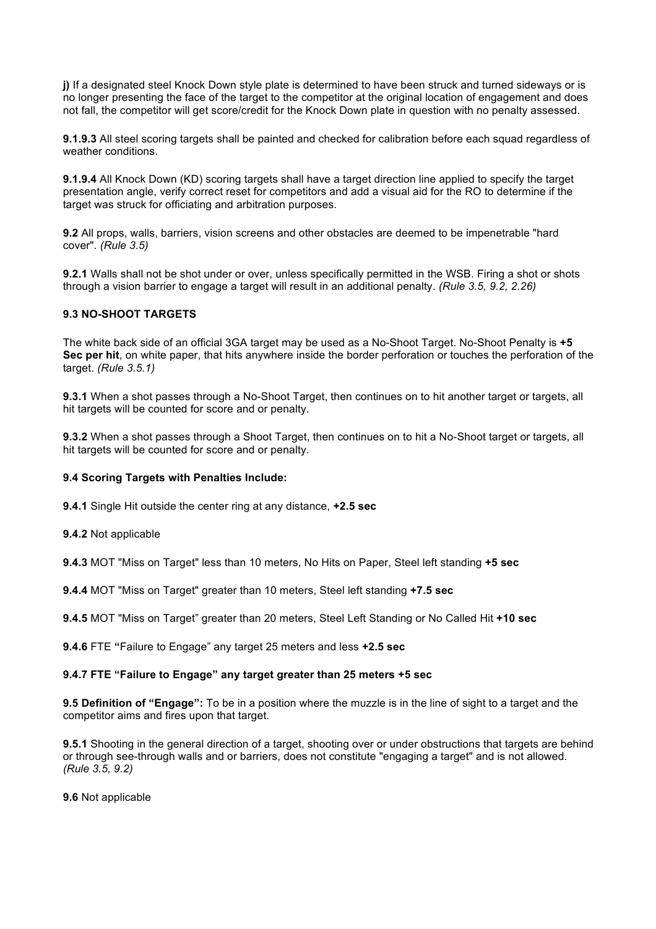**j)** If a designated steel Knock Down style plate is determined to have been struck and turned sideways or is no longer presenting the face of the target to the competitor at the original location of engagement and does not fall, the competitor will get score/credit for the Knock Down plate in question with no penalty assessed.

**9.1.9.3** All steel scoring targets shall be painted and checked for calibration before each squad regardless of weather conditions.

**9.1.9.4** All Knock Down (KD) scoring targets shall have a target direction line applied to specify the target presentation angle, verify correct reset for competitors and add a visual aid for the RO to determine if the target was struck for officiating and arbitration purposes.

**9.2** All props, walls, barriers, vision screens and other obstacles are deemed to be impenetrable "hard cover". *(Rule 3.5)*

**9.2.1** Walls shall not be shot under or over, unless specifically permitted in the WSB. Firing a shot or shots through a vision barrier to engage a target will result in an additional penalty. *(Rule 3.5, 9.2, 2.26)*

# **9.3 NO-SHOOT TARGETS**

The white back side of an official 3GA target may be used as a No-Shoot Target. No-Shoot Penalty is **+5 Sec per hit**, on white paper, that hits anywhere inside the border perforation or touches the perforation of the target. *(Rule 3.5.1)*

**9.3.1** When a shot passes through a No-Shoot Target, then continues on to hit another target or targets, all hit targets will be counted for score and or penalty.

**9.3.2** When a shot passes through a Shoot Target, then continues on to hit a No-Shoot target or targets, all hit targets will be counted for score and or penalty.

#### **9.4 Scoring Targets with Penalties Include:**

**9.4.1** Single Hit outside the center ring at any distance, **+2.5 sec**

**9.4.2** Not applicable

**9.4.3** MOT "Miss on Target" less than 10 meters, No Hits on Paper, Steel left standing **+5 sec**

**9.4.4** MOT "Miss on Target" greater than 10 meters, Steel left standing **+7.5 sec**

**9.4.5** MOT "Miss on Target" greater than 20 meters, Steel Left Standing or No Called Hit **+10 sec**

**9.4.6** FTE **"**Failure to Engage" any target 25 meters and less **+2.5 sec**

#### **9.4.7 FTE "Failure to Engage" any target greater than 25 meters +5 sec**

**9.5 Definition of "Engage":** To be in a position where the muzzle is in the line of sight to a target and the competitor aims and fires upon that target.

**9.5.1** Shooting in the general direction of a target, shooting over or under obstructions that targets are behind or through see-through walls and or barriers, does not constitute "engaging a target" and is not allowed. *(Rule 3.5, 9.2)*

**9.6** Not applicable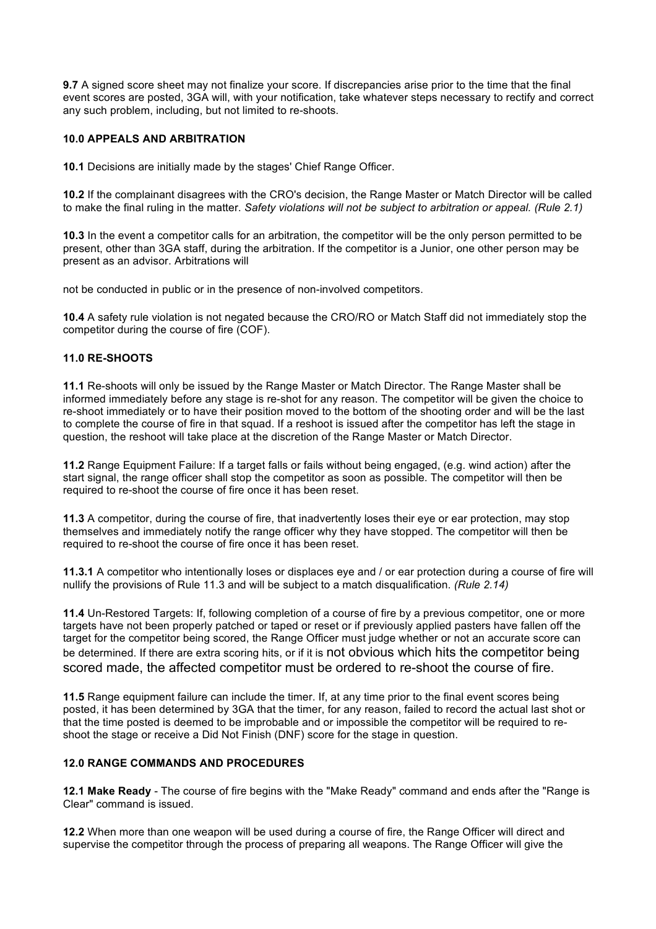**9.7** A signed score sheet may not finalize your score. If discrepancies arise prior to the time that the final event scores are posted, 3GA will, with your notification, take whatever steps necessary to rectify and correct any such problem, including, but not limited to re-shoots.

# **10.0 APPEALS AND ARBITRATION**

**10.1** Decisions are initially made by the stages' Chief Range Officer.

**10.2** If the complainant disagrees with the CRO's decision, the Range Master or Match Director will be called to make the final ruling in the matter. *Safety violations will not be subject to arbitration or appeal. (Rule 2.1)*

**10.3** In the event a competitor calls for an arbitration, the competitor will be the only person permitted to be present, other than 3GA staff, during the arbitration. If the competitor is a Junior, one other person may be present as an advisor. Arbitrations will

not be conducted in public or in the presence of non-involved competitors.

**10.4** A safety rule violation is not negated because the CRO/RO or Match Staff did not immediately stop the competitor during the course of fire (COF).

### **11.0 RE-SHOOTS**

**11.1** Re-shoots will only be issued by the Range Master or Match Director. The Range Master shall be informed immediately before any stage is re-shot for any reason. The competitor will be given the choice to re-shoot immediately or to have their position moved to the bottom of the shooting order and will be the last to complete the course of fire in that squad. If a reshoot is issued after the competitor has left the stage in question, the reshoot will take place at the discretion of the Range Master or Match Director.

**11.2** Range Equipment Failure: If a target falls or fails without being engaged, (e.g. wind action) after the start signal, the range officer shall stop the competitor as soon as possible. The competitor will then be required to re-shoot the course of fire once it has been reset.

**11.3** A competitor, during the course of fire, that inadvertently loses their eye or ear protection, may stop themselves and immediately notify the range officer why they have stopped. The competitor will then be required to re-shoot the course of fire once it has been reset.

**11.3.1** A competitor who intentionally loses or displaces eye and / or ear protection during a course of fire will nullify the provisions of Rule 11.3 and will be subject to a match disqualification. *(Rule 2.14)*

**11.4** Un-Restored Targets: If, following completion of a course of fire by a previous competitor, one or more targets have not been properly patched or taped or reset or if previously applied pasters have fallen off the target for the competitor being scored, the Range Officer must judge whether or not an accurate score can be determined. If there are extra scoring hits, or if it is not obvious which hits the competitor being scored made, the affected competitor must be ordered to re-shoot the course of fire.

**11.5** Range equipment failure can include the timer. If, at any time prior to the final event scores being posted, it has been determined by 3GA that the timer, for any reason, failed to record the actual last shot or that the time posted is deemed to be improbable and or impossible the competitor will be required to reshoot the stage or receive a Did Not Finish (DNF) score for the stage in question.

#### **12.0 RANGE COMMANDS AND PROCEDURES**

**12.1 Make Ready** - The course of fire begins with the "Make Ready" command and ends after the "Range is Clear" command is issued.

**12.2** When more than one weapon will be used during a course of fire, the Range Officer will direct and supervise the competitor through the process of preparing all weapons. The Range Officer will give the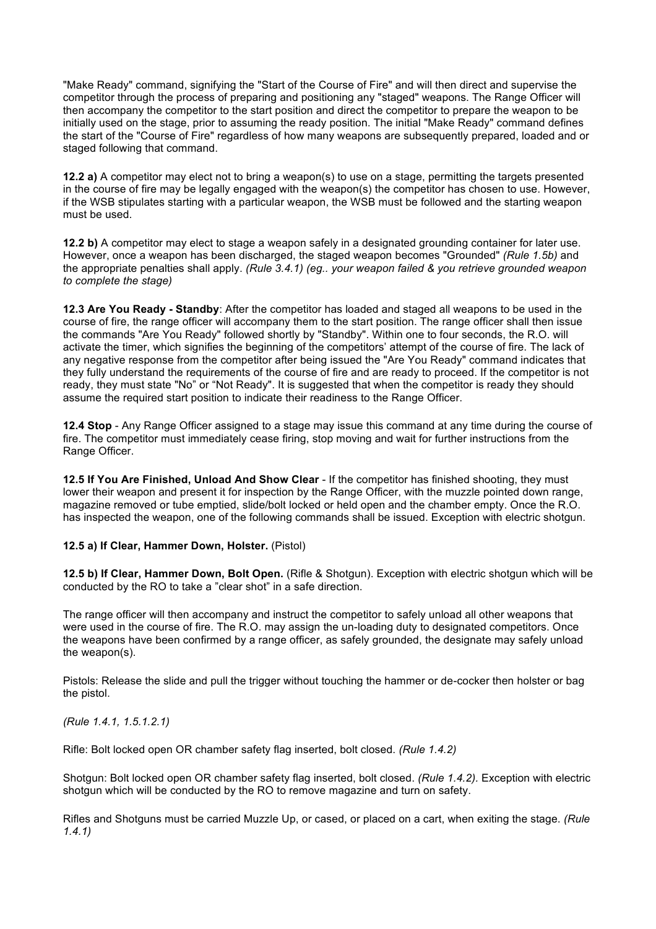"Make Ready" command, signifying the "Start of the Course of Fire" and will then direct and supervise the competitor through the process of preparing and positioning any "staged" weapons. The Range Officer will then accompany the competitor to the start position and direct the competitor to prepare the weapon to be initially used on the stage, prior to assuming the ready position. The initial "Make Ready" command defines the start of the "Course of Fire" regardless of how many weapons are subsequently prepared, loaded and or staged following that command.

**12.2 a)** A competitor may elect not to bring a weapon(s) to use on a stage, permitting the targets presented in the course of fire may be legally engaged with the weapon(s) the competitor has chosen to use. However, if the WSB stipulates starting with a particular weapon, the WSB must be followed and the starting weapon must be used.

**12.2 b)** A competitor may elect to stage a weapon safely in a designated grounding container for later use. However, once a weapon has been discharged, the staged weapon becomes "Grounded" *(Rule 1.5b)* and the appropriate penalties shall apply. *(Rule 3.4.1) (eg.. your weapon failed & you retrieve grounded weapon to complete the stage)*

**12.3 Are You Ready - Standby**: After the competitor has loaded and staged all weapons to be used in the course of fire, the range officer will accompany them to the start position. The range officer shall then issue the commands "Are You Ready" followed shortly by "Standby". Within one to four seconds, the R.O. will activate the timer, which signifies the beginning of the competitors' attempt of the course of fire. The lack of any negative response from the competitor after being issued the "Are You Ready" command indicates that they fully understand the requirements of the course of fire and are ready to proceed. If the competitor is not ready, they must state "No" or "Not Ready". It is suggested that when the competitor is ready they should assume the required start position to indicate their readiness to the Range Officer.

**12.4 Stop** - Any Range Officer assigned to a stage may issue this command at any time during the course of fire. The competitor must immediately cease firing, stop moving and wait for further instructions from the Range Officer.

**12.5 If You Are Finished, Unload And Show Clear** - If the competitor has finished shooting, they must lower their weapon and present it for inspection by the Range Officer, with the muzzle pointed down range, magazine removed or tube emptied, slide/bolt locked or held open and the chamber empty. Once the R.O. has inspected the weapon, one of the following commands shall be issued. Exception with electric shotgun.

# **12.5 a) If Clear, Hammer Down, Holster.** (Pistol)

**12.5 b) If Clear, Hammer Down, Bolt Open.** (Rifle & Shotgun). Exception with electric shotgun which will be conducted by the RO to take a "clear shot" in a safe direction.

The range officer will then accompany and instruct the competitor to safely unload all other weapons that were used in the course of fire. The R.O. may assign the un-loading duty to designated competitors. Once the weapons have been confirmed by a range officer, as safely grounded, the designate may safely unload the weapon(s).

Pistols: Release the slide and pull the trigger without touching the hammer or de-cocker then holster or bag the pistol.

*(Rule 1.4.1, 1.5.1.2.1)*

Rifle: Bolt locked open OR chamber safety flag inserted, bolt closed. *(Rule 1.4.2)*

Shotgun: Bolt locked open OR chamber safety flag inserted, bolt closed. *(Rule 1.4.2).* Exception with electric shotgun which will be conducted by the RO to remove magazine and turn on safety.

Rifles and Shotguns must be carried Muzzle Up, or cased, or placed on a cart, when exiting the stage. *(Rule 1.4.1)*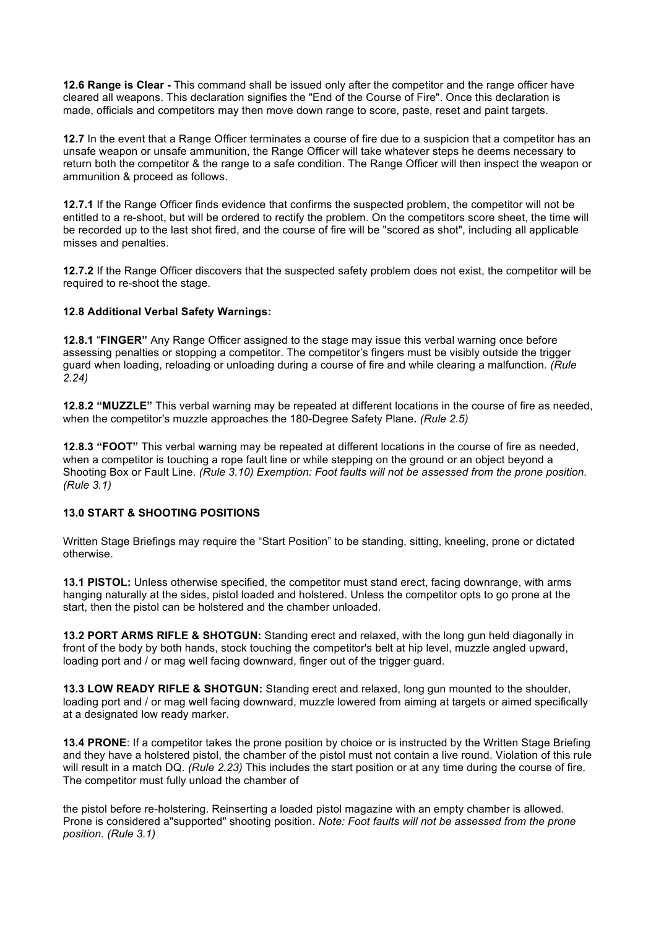**12.6 Range is Clear -** This command shall be issued only after the competitor and the range officer have cleared all weapons. This declaration signifies the "End of the Course of Fire". Once this declaration is made, officials and competitors may then move down range to score, paste, reset and paint targets.

**12.7** In the event that a Range Officer terminates a course of fire due to a suspicion that a competitor has an unsafe weapon or unsafe ammunition, the Range Officer will take whatever steps he deems necessary to return both the competitor & the range to a safe condition. The Range Officer will then inspect the weapon or ammunition & proceed as follows.

**12.7.1** If the Range Officer finds evidence that confirms the suspected problem, the competitor will not be entitled to a re-shoot, but will be ordered to rectify the problem. On the competitors score sheet, the time will be recorded up to the last shot fired, and the course of fire will be "scored as shot", including all applicable misses and penalties.

**12.7.2** If the Range Officer discovers that the suspected safety problem does not exist, the competitor will be required to re-shoot the stage.

### **12.8 Additional Verbal Safety Warnings:**

**12.8.1** "**FINGER"** Any Range Officer assigned to the stage may issue this verbal warning once before assessing penalties or stopping a competitor. The competitor's fingers must be visibly outside the trigger guard when loading, reloading or unloading during a course of fire and while clearing a malfunction. *(Rule 2.24)*

**12.8.2 "MUZZLE"** This verbal warning may be repeated at different locations in the course of fire as needed, when the competitor's muzzle approaches the 180-Degree Safety Plane**.** *(Rule 2.5)*

**12.8.3 "FOOT"** This verbal warning may be repeated at different locations in the course of fire as needed, when a competitor is touching a rope fault line or while stepping on the ground or an object beyond a Shooting Box or Fault Line. *(Rule 3.10) Exemption: Foot faults will not be assessed from the prone position. (Rule 3.1)*

# **13.0 START & SHOOTING POSITIONS**

Written Stage Briefings may require the "Start Position" to be standing, sitting, kneeling, prone or dictated otherwise.

**13.1 PISTOL:** Unless otherwise specified, the competitor must stand erect, facing downrange, with arms hanging naturally at the sides, pistol loaded and holstered. Unless the competitor opts to go prone at the start, then the pistol can be holstered and the chamber unloaded.

**13.2 PORT ARMS RIFLE & SHOTGUN:** Standing erect and relaxed, with the long gun held diagonally in front of the body by both hands, stock touching the competitor's belt at hip level, muzzle angled upward, loading port and / or mag well facing downward, finger out of the trigger guard.

**13.3 LOW READY RIFLE & SHOTGUN:** Standing erect and relaxed, long gun mounted to the shoulder, loading port and / or mag well facing downward, muzzle lowered from aiming at targets or aimed specifically at a designated low ready marker.

**13.4 PRONE**: If a competitor takes the prone position by choice or is instructed by the Written Stage Briefing and they have a holstered pistol, the chamber of the pistol must not contain a live round. Violation of this rule will result in a match DQ. *(Rule 2.23)* This includes the start position or at any time during the course of fire. The competitor must fully unload the chamber of

the pistol before re-holstering. Reinserting a loaded pistol magazine with an empty chamber is allowed. Prone is considered a"supported" shooting position. *Note: Foot faults will not be assessed from the prone position. (Rule 3.1)*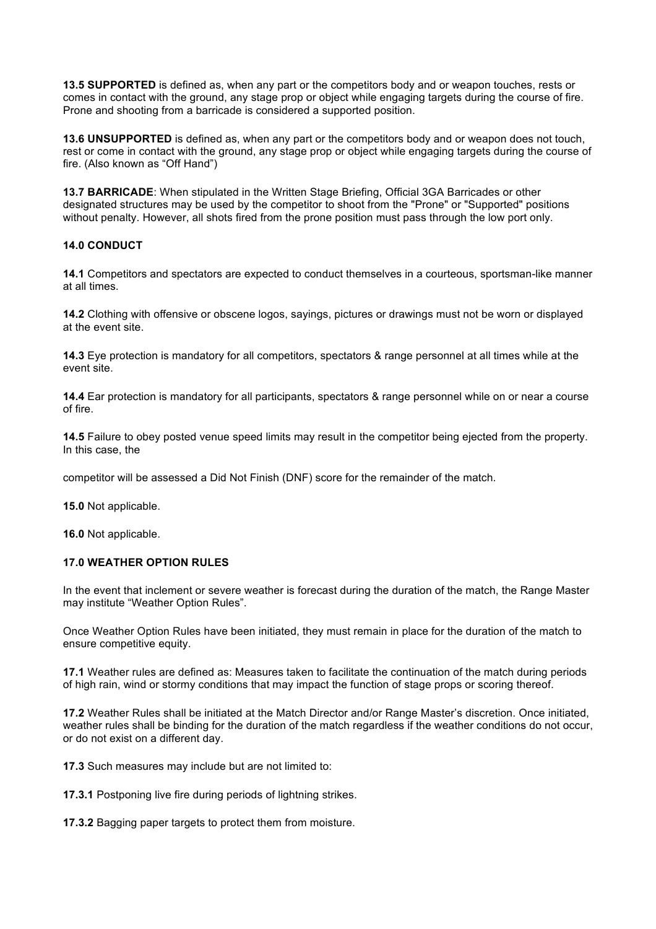**13.5 SUPPORTED** is defined as, when any part or the competitors body and or weapon touches, rests or comes in contact with the ground, any stage prop or object while engaging targets during the course of fire. Prone and shooting from a barricade is considered a supported position.

**13.6 UNSUPPORTED** is defined as, when any part or the competitors body and or weapon does not touch, rest or come in contact with the ground, any stage prop or object while engaging targets during the course of fire. (Also known as "Off Hand")

**13.7 BARRICADE**: When stipulated in the Written Stage Briefing, Official 3GA Barricades or other designated structures may be used by the competitor to shoot from the "Prone" or "Supported" positions without penalty. However, all shots fired from the prone position must pass through the low port only.

### **14.0 CONDUCT**

**14.1** Competitors and spectators are expected to conduct themselves in a courteous, sportsman-like manner at all times.

**14.2** Clothing with offensive or obscene logos, sayings, pictures or drawings must not be worn or displayed at the event site.

**14.3** Eye protection is mandatory for all competitors, spectators & range personnel at all times while at the event site.

**14.4** Ear protection is mandatory for all participants, spectators & range personnel while on or near a course of fire.

**14.5** Failure to obey posted venue speed limits may result in the competitor being ejected from the property. In this case, the

competitor will be assessed a Did Not Finish (DNF) score for the remainder of the match.

**15.0** Not applicable.

**16.0** Not applicable.

### **17.0 WEATHER OPTION RULES**

In the event that inclement or severe weather is forecast during the duration of the match, the Range Master may institute "Weather Option Rules".

Once Weather Option Rules have been initiated, they must remain in place for the duration of the match to ensure competitive equity.

**17.1** Weather rules are defined as: Measures taken to facilitate the continuation of the match during periods of high rain, wind or stormy conditions that may impact the function of stage props or scoring thereof.

**17.2** Weather Rules shall be initiated at the Match Director and/or Range Master's discretion. Once initiated, weather rules shall be binding for the duration of the match regardless if the weather conditions do not occur, or do not exist on a different day.

**17.3** Such measures may include but are not limited to:

**17.3.1** Postponing live fire during periods of lightning strikes.

**17.3.2** Bagging paper targets to protect them from moisture.